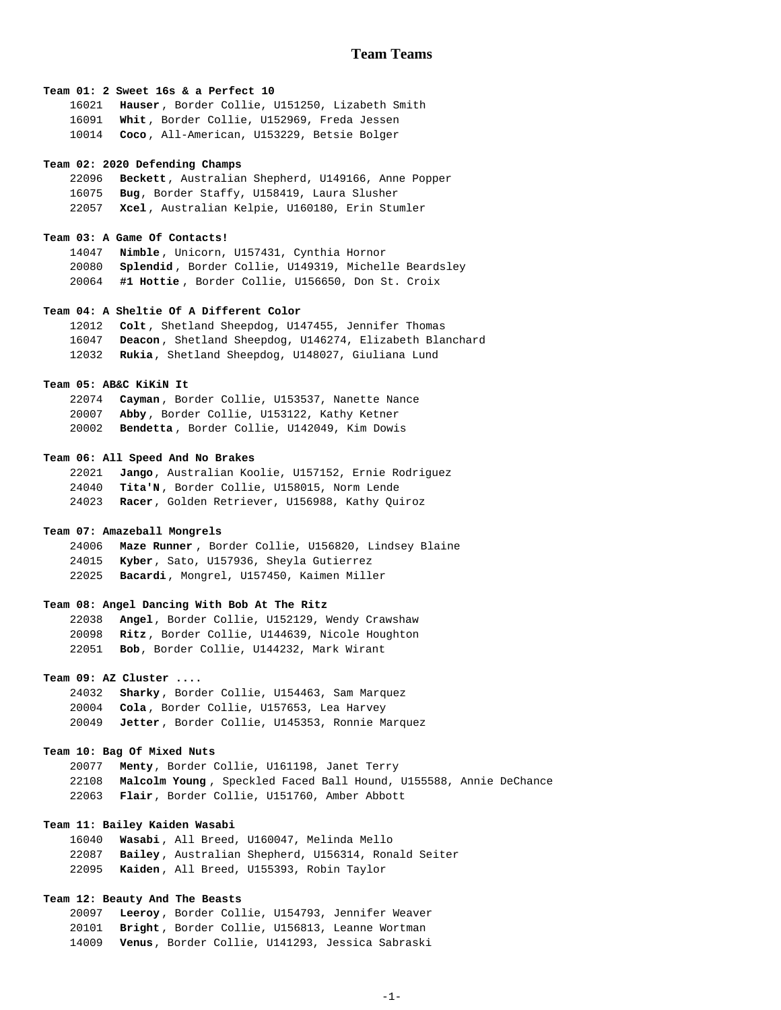### **Team 01: 2 Sweet 16s & a Perfect 10**

**Hauser** , Border Collie, U151250, Lizabeth Smith **Whit** , Border Collie, U152969, Freda Jessen **Coco** , All-American, U153229, Betsie Bolger

#### **Team 02: 2020 Defending Champs**

**Beckett**, Australian Shepherd, U149166, Anne Popper **Bug**, Border Staffy, U158419, Laura Slusher **Xcel** , Australian Kelpie, U160180, Erin Stumler

### **Team 03: A Game Of Contacts!**

**Nimble** , Unicorn, U157431, Cynthia Hornor **Splendid** , Border Collie, U149319, Michelle Beardsley **#1 Hottie** , Border Collie, U156650, Don St. Croix

# **Team 04: A Sheltie Of A Different Color**

**Colt** , Shetland Sheepdog, U147455, Jennifer Thomas **Deacon** , Shetland Sheepdog, U146274, Elizabeth Blanchard **Rukia**, Shetland Sheepdog, U148027, Giuliana Lund

# **Team 05: AB&C KiKiN It**

**Cayman** , Border Collie, U153537, Nanette Nance **Abby** , Border Collie, U153122, Kathy Ketner **Bendetta** , Border Collie, U142049, Kim Dowis

### **Team 06: All Speed And No Brakes**

**Jango**, Australian Koolie, U157152, Ernie Rodriguez **Tita'N** , Border Collie, U158015, Norm Lende **Racer**, Golden Retriever, U156988, Kathy Quiroz

# **Team 07: Amazeball Mongrels**

**Maze Runner** , Border Collie, U156820, Lindsey Blaine **Kyber**, Sato, U157936, Sheyla Gutierrez **Bacardi**, Mongrel, U157450, Kaimen Miller

### **Team 08: Angel Dancing With Bob At The Ritz**

**Angel**, Border Collie, U152129, Wendy Crawshaw **Ritz** , Border Collie, U144639, Nicole Houghton **Bob**, Border Collie, U144232, Mark Wirant

# **Team 09: AZ Cluster ....**

**Sharky** , Border Collie, U154463, Sam Marquez **Cola** , Border Collie, U157653, Lea Harvey **Jetter** , Border Collie, U145353, Ronnie Marquez

### **Team 10: Bag Of Mixed Nuts**

**Menty**, Border Collie, U161198, Janet Terry **Malcolm Young** , Speckled Faced Ball Hound, U155588, Annie DeChance **Flair**, Border Collie, U151760, Amber Abbott

# **Team 11: Bailey Kaiden Wasabi**

**Wasabi** , All Breed, U160047, Melinda Mello **Bailey** , Australian Shepherd, U156314, Ronald Seiter **Kaiden** , All Breed, U155393, Robin Taylor

# **Team 12: Beauty And The Beasts**

**Leeroy** , Border Collie, U154793, Jennifer Weaver **Bright** , Border Collie, U156813, Leanne Wortman **Venus**, Border Collie, U141293, Jessica Sabraski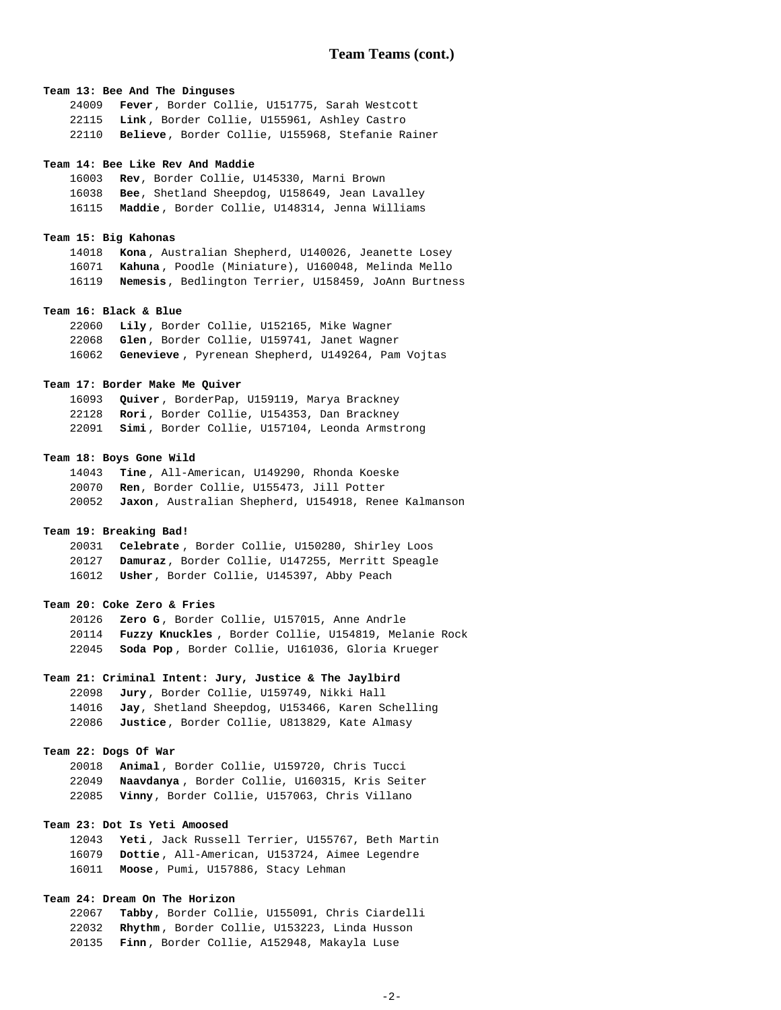## **Team 13: Bee And The Dinguses**

**Fever**, Border Collie, U151775, Sarah Westcott **Link** , Border Collie, U155961, Ashley Castro **Believe**, Border Collie, U155968, Stefanie Rainer

#### **Team 14: Bee Like Rev And Maddie**

**Rev**, Border Collie, U145330, Marni Brown **Bee**, Shetland Sheepdog, U158649, Jean Lavalley **Maddie** , Border Collie, U148314, Jenna Williams

### **Team 15: Big Kahonas**

**Kona** , Australian Shepherd, U140026, Jeanette Losey **Kahuna** , Poodle (Miniature), U160048, Melinda Mello **Nemesis**, Bedlington Terrier, U158459, JoAnn Burtness

# **Team 16: Black & Blue**

**Lily** , Border Collie, U152165, Mike Wagner **Glen** , Border Collie, U159741, Janet Wagner **Genevieve** , Pyrenean Shepherd, U149264, Pam Vojtas

# **Team 17: Border Make Me Quiver**

**Quiver** , BorderPap, U159119, Marya Brackney **Rori** , Border Collie, U154353, Dan Brackney **Simi** , Border Collie, U157104, Leonda Armstrong

### **Team 18: Boys Gone Wild**

**Tine** , All-American, U149290, Rhonda Koeske **Ren**, Border Collie, U155473, Jill Potter **Jaxon**, Australian Shepherd, U154918, Renee Kalmanson

# **Team 19: Breaking Bad!**

**Celebrate** , Border Collie, U150280, Shirley Loos **Damuraz**, Border Collie, U147255, Merritt Speagle **Usher**, Border Collie, U145397, Abby Peach

### **Team 20: Coke Zero & Fries**

**Zero G** , Border Collie, U157015, Anne Andrle **Fuzzy Knuckles** , Border Collie, U154819, Melanie Rock **Soda Pop** , Border Collie, U161036, Gloria Krueger

# **Team 21: Criminal Intent: Jury, Justice & The Jaylbird**

**Jury** , Border Collie, U159749, Nikki Hall **Jay**, Shetland Sheepdog, U153466, Karen Schelling **Justice**, Border Collie, U813829, Kate Almasy

## **Team 22: Dogs Of War**

**Animal** , Border Collie, U159720, Chris Tucci **Naavdanya** , Border Collie, U160315, Kris Seiter **Vinny**, Border Collie, U157063, Chris Villano

# **Team 23: Dot Is Yeti Amoosed**

**Yeti** , Jack Russell Terrier, U155767, Beth Martin **Dottie** , All-American, U153724, Aimee Legendre **Moose**, Pumi, U157886, Stacy Lehman

# **Team 24: Dream On The Horizon**

**Tabby**, Border Collie, U155091, Chris Ciardelli **Rhythm** , Border Collie, U153223, Linda Husson **Finn** , Border Collie, A152948, Makayla Luse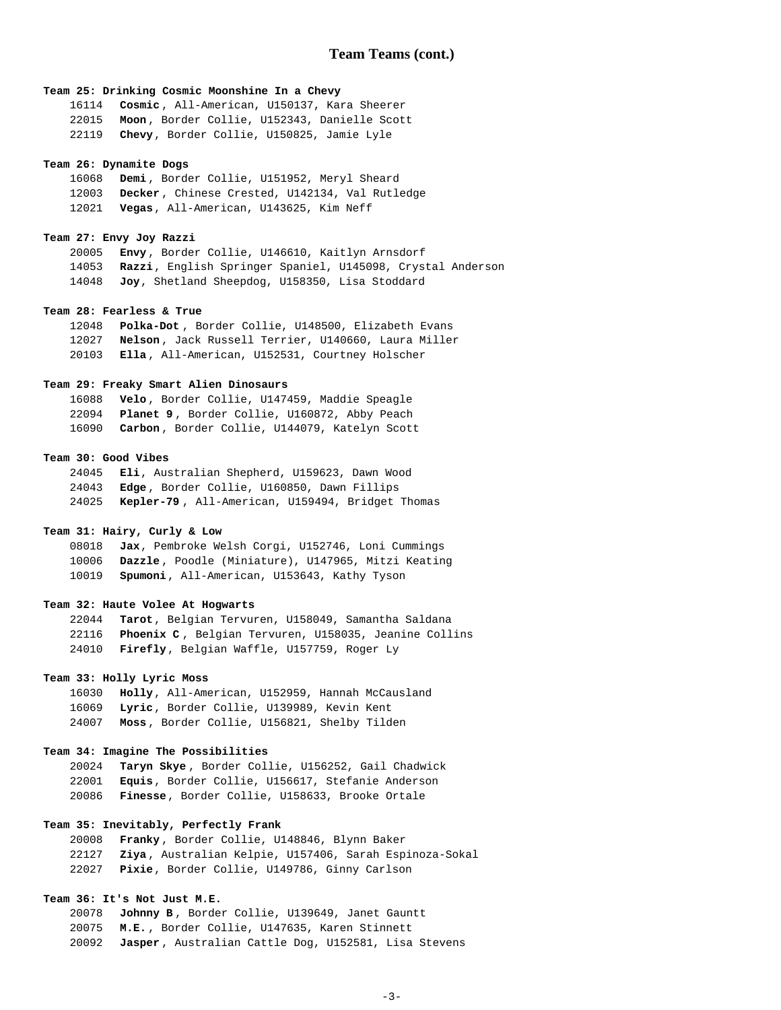# **Team 25: Drinking Cosmic Moonshine In a Chevy**

**Cosmic** , All-American, U150137, Kara Sheerer **Moon** , Border Collie, U152343, Danielle Scott **Chevy**, Border Collie, U150825, Jamie Lyle

### **Team 26: Dynamite Dogs**

**Demi** , Border Collie, U151952, Meryl Sheard **Decker** , Chinese Crested, U142134, Val Rutledge **Vegas**, All-American, U143625, Kim Neff

### **Team 27: Envy Joy Razzi**

**Envy** , Border Collie, U146610, Kaitlyn Arnsdorf **Razzi**, English Springer Spaniel, U145098, Crystal Anderson **Joy**, Shetland Sheepdog, U158350, Lisa Stoddard

## **Team 28: Fearless & True**

**Polka-Dot** , Border Collie, U148500, Elizabeth Evans **Nelson** , Jack Russell Terrier, U140660, Laura Miller **Ella** , All-American, U152531, Courtney Holscher

## **Team 29: Freaky Smart Alien Dinosaurs**

**Velo** , Border Collie, U147459, Maddie Speagle **Planet 9** , Border Collie, U160872, Abby Peach **Carbon** , Border Collie, U144079, Katelyn Scott

### **Team 30: Good Vibes**

**Eli**, Australian Shepherd, U159623, Dawn Wood **Edge** , Border Collie, U160850, Dawn Fillips **Kepler-79** , All-American, U159494, Bridget Thomas

# **Team 31: Hairy, Curly & Low**

**Jax**, Pembroke Welsh Corgi, U152746, Loni Cummings **Dazzle** , Poodle (Miniature), U147965, Mitzi Keating **Spumoni**, All-American, U153643, Kathy Tyson

### **Team 32: Haute Volee At Hogwarts**

**Tarot**, Belgian Tervuren, U158049, Samantha Saldana **Phoenix C** , Belgian Tervuren, U158035, Jeanine Collins **Firefly**, Belgian Waffle, U157759, Roger Ly

# **Team 33: Holly Lyric Moss**

**Holly**, All-American, U152959, Hannah McCausland **Lyric**, Border Collie, U139989, Kevin Kent **Moss** , Border Collie, U156821, Shelby Tilden

### **Team 34: Imagine The Possibilities**

**Taryn Skye** , Border Collie, U156252, Gail Chadwick **Equis**, Border Collie, U156617, Stefanie Anderson **Finesse**, Border Collie, U158633, Brooke Ortale

# **Team 35: Inevitably, Perfectly Frank**

**Franky** , Border Collie, U148846, Blynn Baker **Ziya** , Australian Kelpie, U157406, Sarah Espinoza-Sokal **Pixie**, Border Collie, U149786, Ginny Carlson

# **Team 36: It's Not Just M.E.**

**Johnny B** , Border Collie, U139649, Janet Gauntt **M.E.** , Border Collie, U147635, Karen Stinnett **Jasper** , Australian Cattle Dog, U152581, Lisa Stevens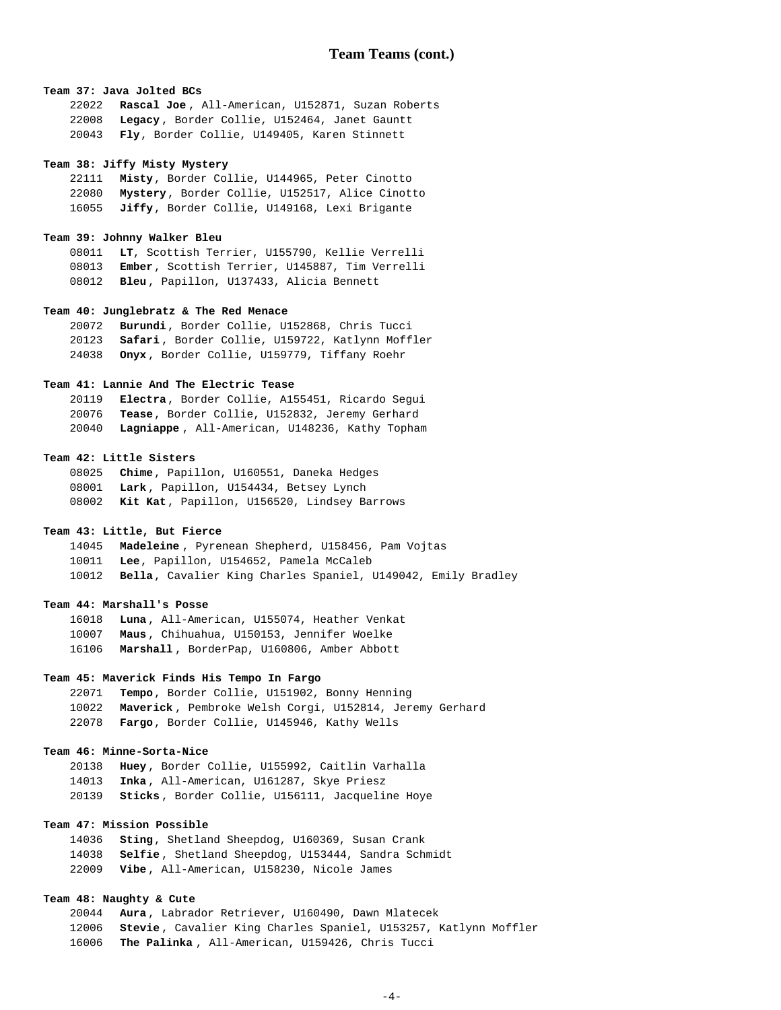## **Team 37: Java Jolted BCs**

**Rascal Joe** , All-American, U152871, Suzan Roberts **Legacy** , Border Collie, U152464, Janet Gauntt **Fly**, Border Collie, U149405, Karen Stinnett

#### **Team 38: Jiffy Misty Mystery**

**Misty**, Border Collie, U144965, Peter Cinotto **Mystery**, Border Collie, U152517, Alice Cinotto **Jiffy**, Border Collie, U149168, Lexi Brigante

# **Team 39: Johnny Walker Bleu**

**LT**, Scottish Terrier, U155790, Kellie Verrelli **Ember**, Scottish Terrier, U145887, Tim Verrelli **Bleu** , Papillon, U137433, Alicia Bennett

### **Team 40: Junglebratz & The Red Menace**

**Burundi**, Border Collie, U152868, Chris Tucci **Safari** , Border Collie, U159722, Katlynn Moffler **Onyx** , Border Collie, U159779, Tiffany Roehr

# **Team 41: Lannie And The Electric Tease**

**Electra**, Border Collie, A155451, Ricardo Segui **Tease**, Border Collie, U152832, Jeremy Gerhard **Lagniappe** , All-American, U148236, Kathy Topham

### **Team 42: Little Sisters**

**Chime**, Papillon, U160551, Daneka Hedges **Lark** , Papillon, U154434, Betsey Lynch **Kit Kat**, Papillon, U156520, Lindsey Barrows

# **Team 43: Little, But Fierce**

**Madeleine** , Pyrenean Shepherd, U158456, Pam Vojtas **Lee**, Papillon, U154652, Pamela McCaleb **Bella**, Cavalier King Charles Spaniel, U149042, Emily Bradley

### **Team 44: Marshall's Posse**

**Luna** , All-American, U155074, Heather Venkat **Maus** , Chihuahua, U150153, Jennifer Woelke **Marshall** , BorderPap, U160806, Amber Abbott

### **Team 45: Maverick Finds His Tempo In Fargo**

**Tempo**, Border Collie, U151902, Bonny Henning **Maverick** , Pembroke Welsh Corgi, U152814, Jeremy Gerhard **Fargo**, Border Collie, U145946, Kathy Wells

## **Team 46: Minne-Sorta-Nice**

**Huey** , Border Collie, U155992, Caitlin Varhalla **Inka** , All-American, U161287, Skye Priesz **Sticks** , Border Collie, U156111, Jacqueline Hoye

# **Team 47: Mission Possible**

**Sting**, Shetland Sheepdog, U160369, Susan Crank **Selfie** , Shetland Sheepdog, U153444, Sandra Schmidt **Vibe** , All-American, U158230, Nicole James

# **Team 48: Naughty & Cute**

**Aura** , Labrador Retriever, U160490, Dawn Mlatecek **Stevie** , Cavalier King Charles Spaniel, U153257, Katlynn Moffler **The Palinka** , All-American, U159426, Chris Tucci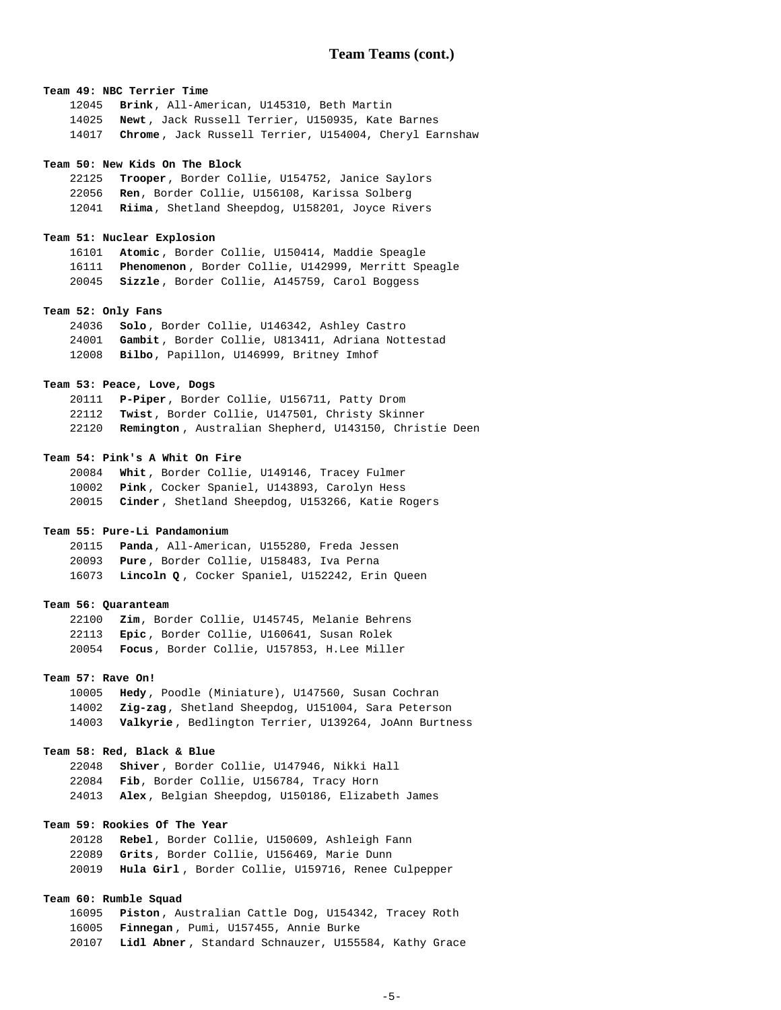## **Team 49: NBC Terrier Time**

**Brink**, All-American, U145310, Beth Martin **Newt** , Jack Russell Terrier, U150935, Kate Barnes **Chrome** , Jack Russell Terrier, U154004, Cheryl Earnshaw

#### **Team 50: New Kids On The Block**

**Trooper**, Border Collie, U154752, Janice Saylors **Ren**, Border Collie, U156108, Karissa Solberg **Riima**, Shetland Sheepdog, U158201, Joyce Rivers

### **Team 51: Nuclear Explosion**

**Atomic** , Border Collie, U150414, Maddie Speagle **Phenomenon** , Border Collie, U142999, Merritt Speagle **Sizzle** , Border Collie, A145759, Carol Boggess

### **Team 52: Only Fans**

**Solo** , Border Collie, U146342, Ashley Castro **Gambit** , Border Collie, U813411, Adriana Nottestad **Bilbo**, Papillon, U146999, Britney Imhof

## **Team 53: Peace, Love, Dogs**

**P-Piper**, Border Collie, U156711, Patty Drom **Twist**, Border Collie, U147501, Christy Skinner **Remington** , Australian Shepherd, U143150, Christie Deen

### **Team 54: Pink's A Whit On Fire**

**Whit** , Border Collie, U149146, Tracey Fulmer **Pink** , Cocker Spaniel, U143893, Carolyn Hess **Cinder** , Shetland Sheepdog, U153266, Katie Rogers

# **Team 55: Pure-Li Pandamonium**

**Panda**, All-American, U155280, Freda Jessen **Pure** , Border Collie, U158483, Iva Perna **Lincoln Q** , Cocker Spaniel, U152242, Erin Queen

### **Team 56: Quaranteam**

**Zim**, Border Collie, U145745, Melanie Behrens **Epic** , Border Collie, U160641, Susan Rolek **Focus**, Border Collie, U157853, H.Lee Miller

# **Team 57: Rave On!**

**Hedy** , Poodle (Miniature), U147560, Susan Cochran **Zig-zag**, Shetland Sheepdog, U151004, Sara Peterson **Valkyrie** , Bedlington Terrier, U139264, JoAnn Burtness

# **Team 58: Red, Black & Blue**

**Shiver** , Border Collie, U147946, Nikki Hall **Fib**, Border Collie, U156784, Tracy Horn **Alex** , Belgian Sheepdog, U150186, Elizabeth James

# **Team 59: Rookies Of The Year**

**Rebel**, Border Collie, U150609, Ashleigh Fann **Grits**, Border Collie, U156469, Marie Dunn **Hula Girl** , Border Collie, U159716, Renee Culpepper

# **Team 60: Rumble Squad**

**Piston** , Australian Cattle Dog, U154342, Tracey Roth **Finnegan** , Pumi, U157455, Annie Burke **Lidl Abner** , Standard Schnauzer, U155584, Kathy Grace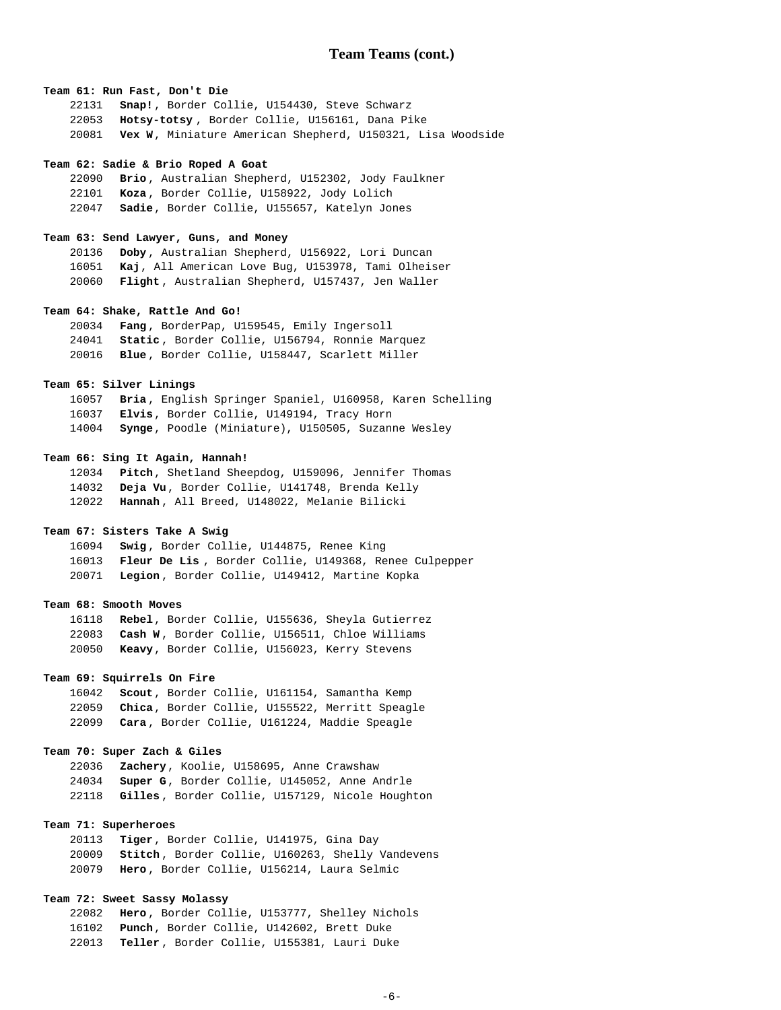## **Team 61: Run Fast, Don't Die**

**Snap!**, Border Collie, U154430, Steve Schwarz **Hotsy-totsy** , Border Collie, U156161, Dana Pike **Vex W**, Miniature American Shepherd, U150321, Lisa Woodside

#### **Team 62: Sadie & Brio Roped A Goat**

**Brio** , Australian Shepherd, U152302, Jody Faulkner **Koza** , Border Collie, U158922, Jody Lolich **Sadie**, Border Collie, U155657, Katelyn Jones

### **Team 63: Send Lawyer, Guns, and Money**

**Doby** , Australian Shepherd, U156922, Lori Duncan **Kaj**, All American Love Bug, U153978, Tami Olheiser **Flight** , Australian Shepherd, U157437, Jen Waller

### **Team 64: Shake, Rattle And Go!**

**Fang** , BorderPap, U159545, Emily Ingersoll **Static** , Border Collie, U156794, Ronnie Marquez **Blue** , Border Collie, U158447, Scarlett Miller

# **Team 65: Silver Linings**

**Bria** , English Springer Spaniel, U160958, Karen Schelling **Elvis**, Border Collie, U149194, Tracy Horn **Synge**, Poodle (Miniature), U150505, Suzanne Wesley

# **Team 66: Sing It Again, Hannah!**

**Pitch**, Shetland Sheepdog, U159096, Jennifer Thomas **Deja Vu**, Border Collie, U141748, Brenda Kelly **Hannah** , All Breed, U148022, Melanie Bilicki

# **Team 67: Sisters Take A Swig**

**Swig** , Border Collie, U144875, Renee King **Fleur De Lis** , Border Collie, U149368, Renee Culpepper **Legion** , Border Collie, U149412, Martine Kopka

### **Team 68: Smooth Moves**

**Rebel**, Border Collie, U155636, Sheyla Gutierrez **Cash W** , Border Collie, U156511, Chloe Williams **Keavy**, Border Collie, U156023, Kerry Stevens

### **Team 69: Squirrels On Fire**

**Scout**, Border Collie, U161154, Samantha Kemp **Chica**, Border Collie, U155522, Merritt Speagle **Cara** , Border Collie, U161224, Maddie Speagle

### **Team 70: Super Zach & Giles**

**Zachery**, Koolie, U158695, Anne Crawshaw **Super G**, Border Collie, U145052, Anne Andrle **Gilles** , Border Collie, U157129, Nicole Houghton

# **Team 71: Superheroes**

**Tiger**, Border Collie, U141975, Gina Day **Stitch** , Border Collie, U160263, Shelly Vandevens **Hero** , Border Collie, U156214, Laura Selmic

# **Team 72: Sweet Sassy Molassy**

**Hero** , Border Collie, U153777, Shelley Nichols **Punch**, Border Collie, U142602, Brett Duke **Teller** , Border Collie, U155381, Lauri Duke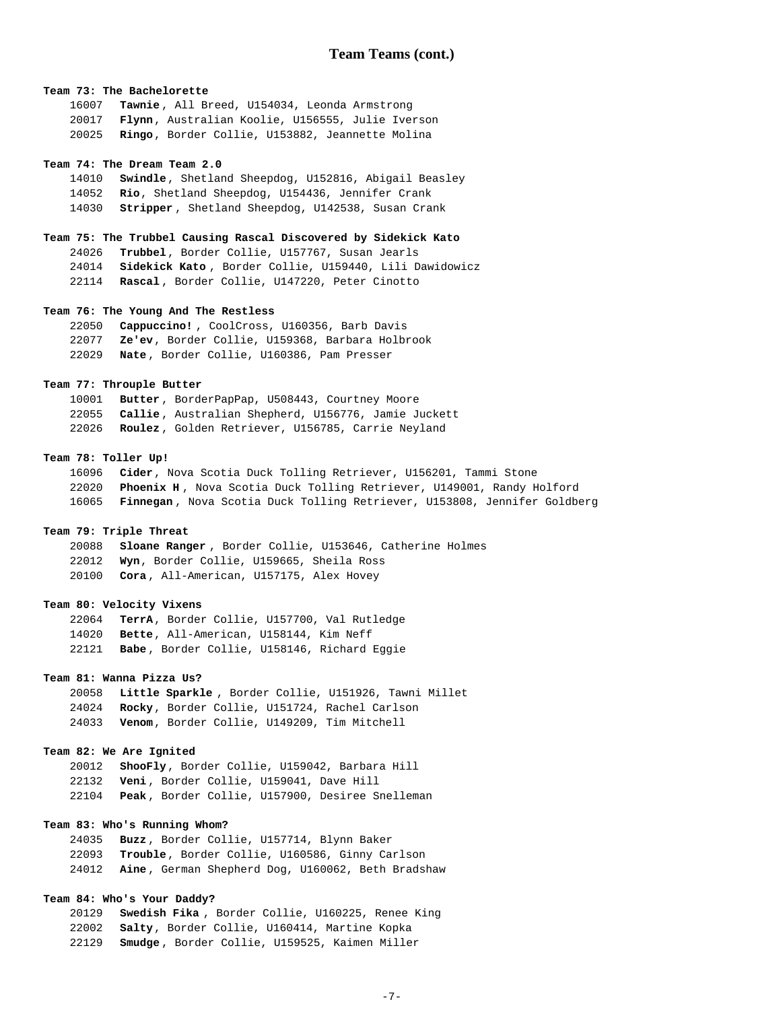# **Team 73: The Bachelorette**

**Tawnie** , All Breed, U154034, Leonda Armstrong **Flynn**, Australian Koolie, U156555, Julie Iverson **Ringo**, Border Collie, U153882, Jeannette Molina

#### **Team 74: The Dream Team 2.0**

**Swindle**, Shetland Sheepdog, U152816, Abigail Beasley **Rio**, Shetland Sheepdog, U154436, Jennifer Crank **Stripper** , Shetland Sheepdog, U142538, Susan Crank

### **Team 75: The Trubbel Causing Rascal Discovered by Sidekick Kato**

**Trubbel**, Border Collie, U157767, Susan Jearls **Sidekick Kato** , Border Collie, U159440, Lili Dawidowicz **Rascal** , Border Collie, U147220, Peter Cinotto

### **Team 76: The Young And The Restless**

**Cappuccino!** , CoolCross, U160356, Barb Davis **Ze'ev**, Border Collie, U159368, Barbara Holbrook **Nate** , Border Collie, U160386, Pam Presser

# **Team 77: Throuple Butter**

**Butter** , BorderPapPap, U508443, Courtney Moore **Callie** , Australian Shepherd, U156776, Jamie Juckett **Roulez** , Golden Retriever, U156785, Carrie Neyland

## **Team 78: Toller Up!**

**Cider**, Nova Scotia Duck Tolling Retriever, U156201, Tammi Stone **Phoenix H** , Nova Scotia Duck Tolling Retriever, U149001, Randy Holford **Finnegan** , Nova Scotia Duck Tolling Retriever, U153808, Jennifer Goldberg

# **Team 79: Triple Threat**

**Sloane Ranger** , Border Collie, U153646, Catherine Holmes **Wyn**, Border Collie, U159665, Sheila Ross **Cora** , All-American, U157175, Alex Hovey

### **Team 80: Velocity Vixens**

**TerrA**, Border Collie, U157700, Val Rutledge **Bette**, All-American, U158144, Kim Neff **Babe** , Border Collie, U158146, Richard Eggie

### **Team 81: Wanna Pizza Us?**

**Little Sparkle** , Border Collie, U151926, Tawni Millet **Rocky**, Border Collie, U151724, Rachel Carlson **Venom**, Border Collie, U149209, Tim Mitchell

## **Team 82: We Are Ignited**

**ShooFly**, Border Collie, U159042, Barbara Hill **Veni** , Border Collie, U159041, Dave Hill **Peak** , Border Collie, U157900, Desiree Snelleman

# **Team 83: Who's Running Whom?**

**Buzz** , Border Collie, U157714, Blynn Baker **Trouble**, Border Collie, U160586, Ginny Carlson **Aine** , German Shepherd Dog, U160062, Beth Bradshaw

# **Team 84: Who's Your Daddy?**

**Swedish Fika** , Border Collie, U160225, Renee King **Salty**, Border Collie, U160414, Martine Kopka **Smudge** , Border Collie, U159525, Kaimen Miller